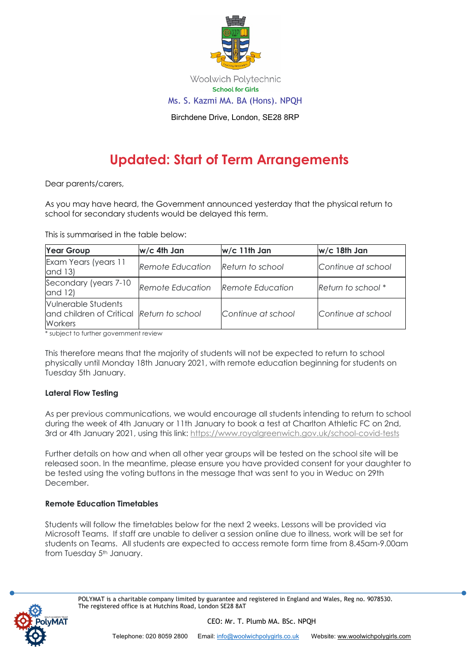

Woolwich Polytechnic **School for Girls** Ms. S. Kazmi MA. BA (Hons). NPQH

Birchdene Drive, London, SE28 8RP

# **Updated: Start of Term Arrangements**

Dear parents/carers,

As you may have heard, the Government announced yesterday that the physical return to school for secondary students would be delayed this term.

This is summarised in the table below:

| <b>Year Group</b>                                                           | w/c 4th Jan      | w/c 11th Jan            | w/c 18th Jan       |
|-----------------------------------------------------------------------------|------------------|-------------------------|--------------------|
| Exam Years (years 11<br>and 13)                                             | Remote Education | Return to school        | Continue at school |
| Secondary (years 7-10<br>and 12)                                            | Remote Education | <b>Remote Education</b> | Return to school * |
| Vulnerable Students<br>and children of Critical Return to school<br>Workers |                  | Continue at school      | Continue at school |

\* subject to further government review

This therefore means that the majority of students will not be expected to return to school physically until Monday 18th January 2021, with remote education beginning for students on Tuesday 5th January.

## **Lateral Flow Testing**

As per previous communications, we would encourage all students intending to return to school during the week of 4th January or 11th January to book a test at Charlton Athletic FC on 2nd, 3rd or 4th January 2021, using this link: https://www.royalgreenwich.gov.uk/school-covid-tests

Further details on how and when all other year groups will be tested on the school site will be released soon. In the meantime, please ensure you have provided consent for your daughter to be tested using the voting buttons in the message that was sent to you in Weduc on 29th December.

## **Remote Education Timetables**

Students will follow the timetables below for the next 2 weeks. Lessons will be provided via Microsoft Teams. If staff are unable to deliver a session online due to illness, work will be set for students on Teams. All students are expected to access remote form time from 8.45am-9.00am from Tuesday 5<sup>th</sup> January.



POLYMAT is a charitable company limited by guarantee and registered in England and Wales, Reg no. 9078530. The registered office is at Hutchins Road, London SE28 8AT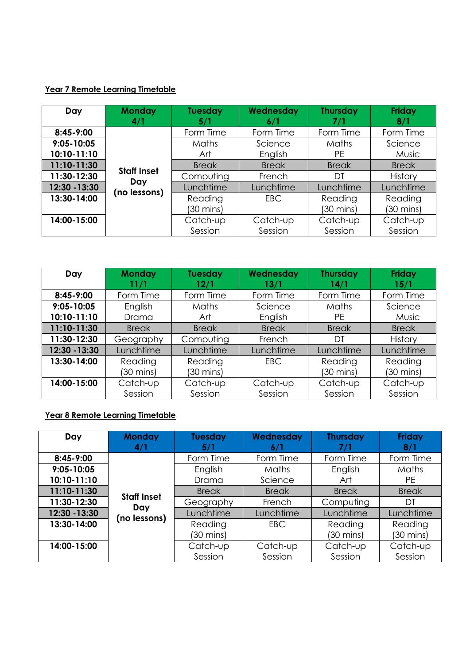# **Year 7 Remote Learning Timetable**

| Day            | <b>Monday</b><br>4/1                      | <b>Tuesday</b><br>5/1 | Wednesday<br>6/1 | <b>Thursday</b><br>7/1 | Friday<br>8/1  |
|----------------|-------------------------------------------|-----------------------|------------------|------------------------|----------------|
| 8:45-9:00      |                                           | Form Time             | Form Time        | Form Time              | Form Time      |
| $9:05 - 10:05$ | <b>Staff Inset</b><br>Day<br>(no lessons) | Maths                 | Science          | Maths                  | Science        |
| 10:10-11:10    |                                           | Art                   | English          | <b>PE</b>              | Music          |
| 11:10-11:30    |                                           | <b>Break</b>          | <b>Break</b>     | <b>Break</b>           | <b>Break</b>   |
| 11:30-12:30    |                                           | Computing             | French           | DT                     | <b>History</b> |
| 12:30 - 13:30  |                                           | Lunchtime             | Lunchtime        | Lunchtime              | Lunchtime      |
| 13:30-14:00    |                                           | Reading               | <b>EBC</b>       | Reading                | Reading        |
|                |                                           | (30 mins)             |                  | (30 mins)              | (30 mins)      |
| 14:00-15:00    |                                           | Catch-up              | Catch-up         | Catch-up               | Catch-up       |
|                |                                           | Session               | Session          | Session                | Session        |

| Day                           | <b>Monday</b><br>11/1          | Tuesday<br>12/1      | Wednesday<br>13/1   | <b>Thursday</b><br>14/1 | <b>Friday</b><br>15/1          |
|-------------------------------|--------------------------------|----------------------|---------------------|-------------------------|--------------------------------|
| 8:45-9:00                     | Form Time                      | Form Time            | Form Time           | Form Time               | Form Time                      |
| $9:05 - 10:05$<br>10:10-11:10 | English<br>Drama               | <b>Maths</b><br>Art  | Science<br>English  | Maths<br><b>PF</b>      | Science<br><b>Music</b>        |
| 11:10-11:30                   | <b>Break</b>                   | <b>Break</b>         | <b>Break</b>        | <b>Break</b>            | <b>Break</b>                   |
| 11:30-12:30                   | Geography                      | Computing            | French              | DT                      | <b>History</b>                 |
| 12:30 - 13:30                 | Lunchtime                      | Lunchtime            | Lunchtime           | Lunchtime               | Lunchtime                      |
| 13:30-14:00                   | Reading<br>$(30 \text{ mins})$ | Reading<br>(30 mins) | <b>EBC</b>          | Reading<br>(30 mins)    | Reading<br>$(30 \text{ mins})$ |
| 14:00-15:00                   | Catch-up<br>Session            | Catch-up<br>Session  | Catch-up<br>Session | Catch-up<br>Session     | Catch-up<br>Session            |

# **Year 8 Remote Learning Timetable**

| Day            | <b>Monday</b><br>4/1                      | <b>Tuesday</b><br>5/1 | Wednesday<br>6/1 | <b>Thursday</b><br>7/1 | Friday<br>8/1 |
|----------------|-------------------------------------------|-----------------------|------------------|------------------------|---------------|
| $8:45-9:00$    |                                           | Form Time             | Form Time        | Form Time              | Form Time     |
| $9:05 - 10:05$ |                                           | English               | Maths            | English                | Maths         |
| 10:10-11:10    | <b>Staff Inset</b><br>Day<br>(no lessons) | Drama                 | Science          | Art                    | <b>PE</b>     |
| 11:10-11:30    |                                           | <b>Break</b>          | <b>Break</b>     | <b>Break</b>           | <b>Break</b>  |
| 11:30-12:30    |                                           | Geography             | French           | Computing              | DT            |
| 12:30 - 13:30  |                                           | Lunchtime             | Lunchtime        | Lunchtime              | Lunchtime     |
| 13:30-14:00    |                                           | Reading               | <b>EBC</b>       | Reading                | Reading       |
|                |                                           | (30 mins)             |                  | (30 mins)              | (30 mins)     |
| 14:00-15:00    |                                           | Catch-up              | Catch-up         | Catch-up               | Catch-up      |
|                |                                           | Session               | Session          | Session                | Session       |